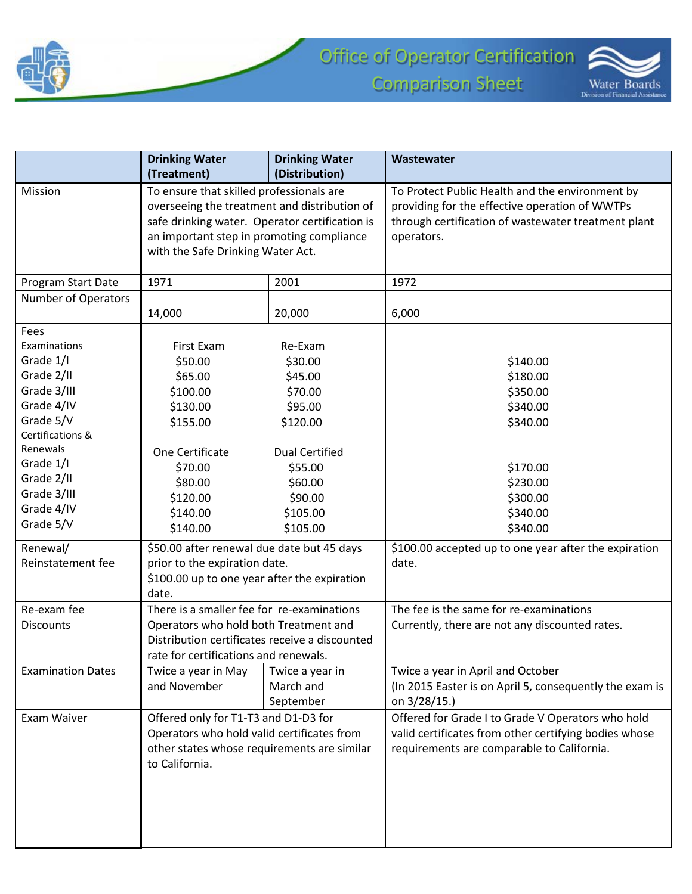



|                          | <b>Drinking Water</b>                          | <b>Drinking Water</b> | Wastewater                                              |
|--------------------------|------------------------------------------------|-----------------------|---------------------------------------------------------|
|                          | (Treatment)<br>(Distribution)                  |                       |                                                         |
| Mission                  | To ensure that skilled professionals are       |                       | To Protect Public Health and the environment by         |
|                          | overseeing the treatment and distribution of   |                       | providing for the effective operation of WWTPs          |
|                          | safe drinking water. Operator certification is |                       | through certification of wastewater treatment plant     |
|                          | an important step in promoting compliance      |                       | operators.                                              |
|                          | with the Safe Drinking Water Act.              |                       |                                                         |
| Program Start Date       | 1971                                           | 2001                  | 1972                                                    |
| Number of Operators      |                                                |                       |                                                         |
|                          | 14,000                                         | 20,000                | 6,000                                                   |
| Fees                     |                                                |                       |                                                         |
| Examinations             | First Exam                                     | Re-Exam               |                                                         |
| Grade 1/I                | \$50.00                                        | \$30.00               | \$140.00                                                |
| Grade 2/II               | \$65.00                                        | \$45.00               | \$180.00                                                |
| Grade 3/III              | \$100.00                                       | \$70.00               | \$350.00                                                |
| Grade 4/IV               | \$130.00                                       | \$95.00               | \$340.00                                                |
| Grade 5/V                | \$155.00                                       | \$120.00              | \$340.00                                                |
| Certifications &         |                                                |                       |                                                         |
| Renewals                 | One Certificate                                | <b>Dual Certified</b> |                                                         |
| Grade 1/I                | \$70.00                                        | \$55.00               | \$170.00                                                |
| Grade 2/II               | \$80.00                                        | \$60.00               | \$230.00                                                |
| Grade 3/III              | \$120.00                                       | \$90.00               | \$300.00                                                |
| Grade 4/IV               | \$140.00                                       | \$105.00              | \$340.00                                                |
| Grade 5/V                | \$140.00                                       | \$105.00              | \$340.00                                                |
| Renewal/                 | \$50.00 after renewal due date but 45 days     |                       | \$100.00 accepted up to one year after the expiration   |
| Reinstatement fee        | prior to the expiration date.                  |                       | date.                                                   |
|                          | \$100.00 up to one year after the expiration   |                       |                                                         |
|                          | date.                                          |                       |                                                         |
| Re-exam fee              | There is a smaller fee for re-examinations     |                       | The fee is the same for re-examinations                 |
| <b>Discounts</b>         | Operators who hold both Treatment and          |                       | Currently, there are not any discounted rates.          |
|                          | Distribution certificates receive a discounted |                       |                                                         |
|                          | rate for certifications and renewals.          |                       |                                                         |
| <b>Examination Dates</b> | Twice a year in May                            | Twice a year in       | Twice a year in April and October                       |
|                          | and November                                   | March and             | (In 2015 Easter is on April 5, consequently the exam is |
|                          |                                                | September             | on 3/28/15.)                                            |
| Exam Waiver              | Offered only for T1-T3 and D1-D3 for           |                       | Offered for Grade I to Grade V Operators who hold       |
|                          | Operators who hold valid certificates from     |                       | valid certificates from other certifying bodies whose   |
|                          | other states whose requirements are similar    |                       | requirements are comparable to California.              |
|                          | to California.                                 |                       |                                                         |
|                          |                                                |                       |                                                         |
|                          |                                                |                       |                                                         |
|                          |                                                |                       |                                                         |
|                          |                                                |                       |                                                         |
|                          |                                                |                       |                                                         |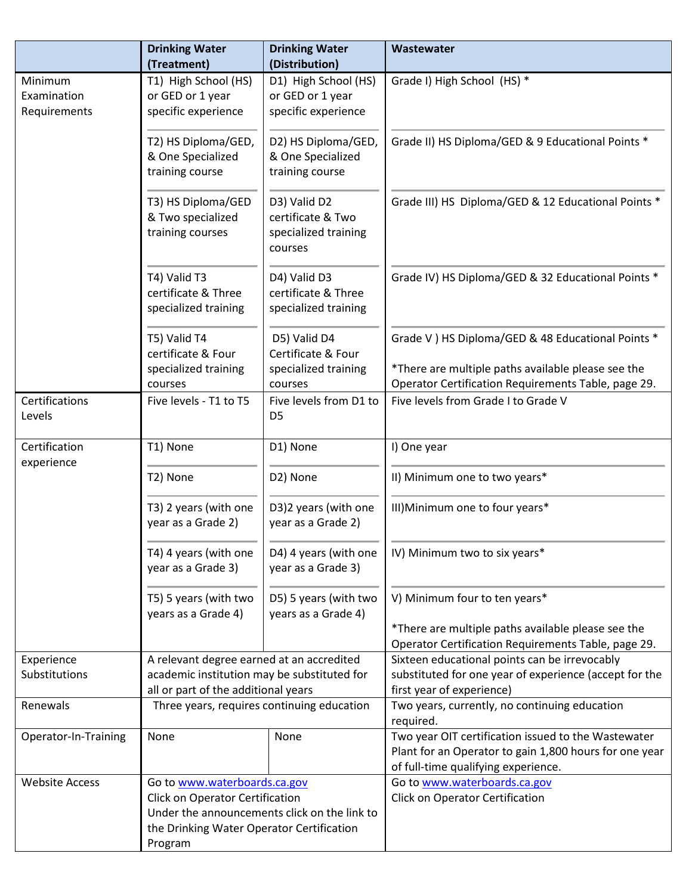|                                                       | <b>Drinking Water</b><br>(Treatment)                                            | <b>Drinking Water</b><br>(Distribution)  | Wastewater                                             |
|-------------------------------------------------------|---------------------------------------------------------------------------------|------------------------------------------|--------------------------------------------------------|
|                                                       |                                                                                 |                                          |                                                        |
| Minimum<br>Examination                                | T1) High School (HS)<br>or GED or 1 year                                        | D1) High School (HS)<br>or GED or 1 year | Grade I) High School (HS) *                            |
| Requirements                                          | specific experience                                                             | specific experience                      |                                                        |
|                                                       |                                                                                 |                                          |                                                        |
|                                                       | T2) HS Diploma/GED,                                                             | D2) HS Diploma/GED,                      | Grade II) HS Diploma/GED & 9 Educational Points *      |
|                                                       | & One Specialized                                                               | & One Specialized                        |                                                        |
|                                                       | training course                                                                 | training course                          |                                                        |
|                                                       |                                                                                 |                                          |                                                        |
|                                                       | T3) HS Diploma/GED                                                              | D3) Valid D2                             | Grade III) HS Diploma/GED & 12 Educational Points *    |
|                                                       | & Two specialized                                                               | certificate & Two                        |                                                        |
|                                                       | training courses                                                                | specialized training                     |                                                        |
|                                                       |                                                                                 | courses                                  |                                                        |
|                                                       |                                                                                 |                                          |                                                        |
|                                                       | T4) Valid T3                                                                    | D4) Valid D3                             | Grade IV) HS Diploma/GED & 32 Educational Points *     |
|                                                       | certificate & Three                                                             | certificate & Three                      |                                                        |
|                                                       | specialized training                                                            | specialized training                     |                                                        |
|                                                       |                                                                                 |                                          |                                                        |
|                                                       | T5) Valid T4<br>certificate & Four                                              | D5) Valid D4<br>Certificate & Four       | Grade V ) HS Diploma/GED & 48 Educational Points *     |
|                                                       |                                                                                 |                                          | *There are multiple paths available please see the     |
|                                                       | specialized training<br>courses                                                 | specialized training<br>courses          | Operator Certification Requirements Table, page 29.    |
| Certifications                                        | Five levels - T1 to T5                                                          | Five levels from D1 to                   | Five levels from Grade I to Grade V                    |
| Levels                                                |                                                                                 | D <sub>5</sub>                           |                                                        |
|                                                       |                                                                                 |                                          |                                                        |
| Certification                                         | T1) None                                                                        | D1) None                                 | I) One year                                            |
| experience                                            |                                                                                 |                                          |                                                        |
|                                                       | T2) None                                                                        | D2) None                                 | II) Minimum one to two years*                          |
|                                                       | T3) 2 years (with one                                                           | D3)2 years (with one                     | III) Minimum one to four years*                        |
|                                                       | year as a Grade 2)                                                              | year as a Grade 2)                       |                                                        |
|                                                       |                                                                                 |                                          |                                                        |
|                                                       | T4) 4 years (with one                                                           | D4) 4 years (with one                    | IV) Minimum two to six years*                          |
|                                                       | year as a Grade 3)                                                              | year as a Grade 3)                       |                                                        |
|                                                       | T5) 5 years (with two                                                           | D5) 5 years (with two                    | V) Minimum four to ten years*                          |
|                                                       | years as a Grade 4)                                                             | years as a Grade 4)                      |                                                        |
|                                                       |                                                                                 |                                          | *There are multiple paths available please see the     |
|                                                       |                                                                                 |                                          | Operator Certification Requirements Table, page 29.    |
| Experience                                            | A relevant degree earned at an accredited                                       |                                          | Sixteen educational points can be irrevocably          |
| Substitutions                                         | academic institution may be substituted for                                     |                                          | substituted for one year of experience (accept for the |
|                                                       | all or part of the additional years                                             |                                          | first year of experience)                              |
| Renewals                                              | Three years, requires continuing education                                      |                                          | Two years, currently, no continuing education          |
|                                                       |                                                                                 |                                          | required.                                              |
| Operator-In-Training                                  | None                                                                            | None                                     | Two year OIT certification issued to the Wastewater    |
|                                                       |                                                                                 |                                          | Plant for an Operator to gain 1,800 hours for one year |
|                                                       |                                                                                 |                                          | of full-time qualifying experience.                    |
| <b>Website Access</b><br>Go to www.waterboards.ca.gov |                                                                                 |                                          | Go to www.waterboards.ca.gov                           |
|                                                       | Click on Operator Certification<br>Under the announcements click on the link to |                                          | Click on Operator Certification                        |
|                                                       | the Drinking Water Operator Certification                                       |                                          |                                                        |
|                                                       | Program                                                                         |                                          |                                                        |
|                                                       |                                                                                 |                                          |                                                        |